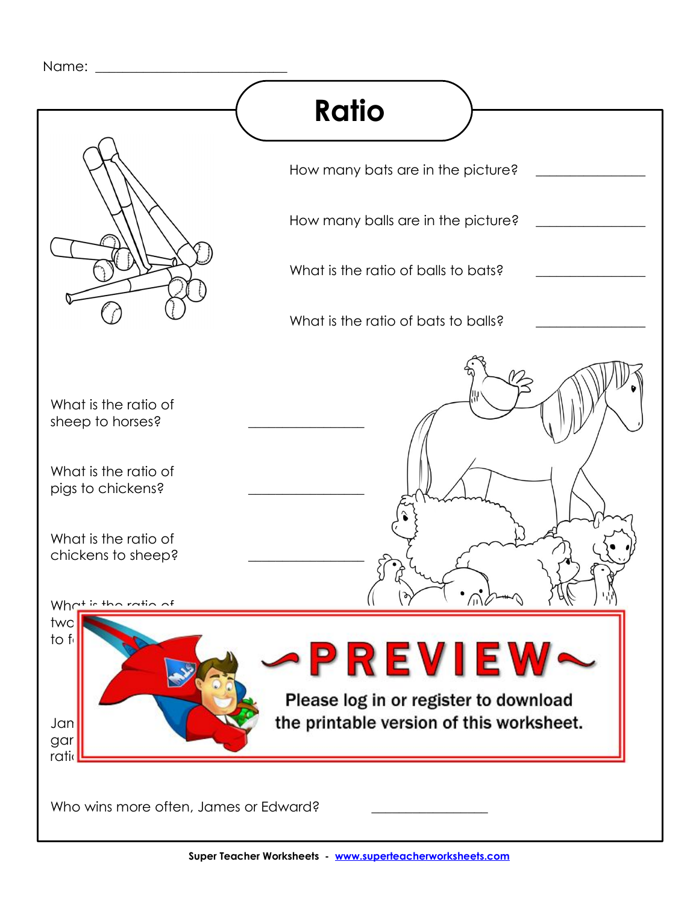Name: \_\_\_\_\_\_\_\_\_\_\_\_\_\_\_\_\_\_\_\_\_\_\_\_\_\_\_\_